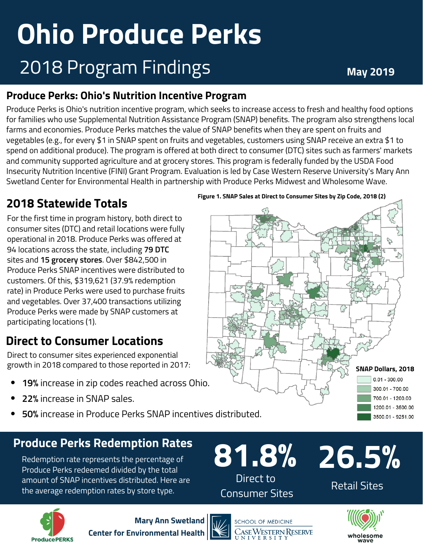# **Ohio Produce Perks** 2018 Program Findings **May <sup>2019</sup>**

#### **Produce Perks: Ohio's Nutrition Incentive Program**

Produce Perks is Ohio's nutrition incentive program, which seeks to increase access to fresh and healthy food options for families who use Supplemental Nutrition Assistance Program (SNAP) benefits. The program also strengthens local farms and economies. Produce Perks matches the value of SNAP benefits when they are spent on fruits and vegetables (e.g., for every \$1 in SNAP spent on fruits and vegetables, customers using SNAP receive an extra \$1 to spend on additional produce). The program is offered at both direct to consumer (DTC) sites such as farmers' markets and community supported agriculture and at grocery stores. This program is federally funded by the USDA Food Insecurity Nutrition Incentive (FINI) Grant Program. Evaluation is led by Case Western Reserve University's Mary Ann Swetland Center for Environmental Health in partnership with Produce Perks Midwest and Wholesome Wave.

#### **2018 Statewide Totals**

For the first time in program history, both direct to consumer sites (DTC) and retail locations were fully operational in 2018. Produce Perks was offered at 94 locations across the state, including **79 DTC** sites and **15 grocery stores**. Over \$842,500 in Produce Perks SNAP incentives were distributed to customers. Of this, \$319,621 (37.9% redemption rate) in Produce Perks were used to purchase fruits and vegetables. Over 37,400 transactions utilizing Produce Perks were made by SNAP customers at participating locations (1).

### **Direct to Consumer Locations**

Direct to consumer sites experienced exponential growth in 2018 compared to those reported in 2017: **SNAPP 2018** 

- **19%** increase in zip codes reached across Ohio.
- **22%** increase in SNAP sales.
- **50%** increase in Produce Perks SNAP incentives distributed.

### **Produce Perks Redemption Rates**

Redemption rate represents the percentage of Produce Perks redeemed divided by the total amount of SNAP incentives distributed. Here are the average redemption rates by store type.





**Mary Ann Swetland Center for Environmental Health**







 $0.01 - 300.00$ 300.01 - 700.00 700.01 - 1200.00 1200.01 - 3500.00 3500.01 - 9251.00

Retail Sites